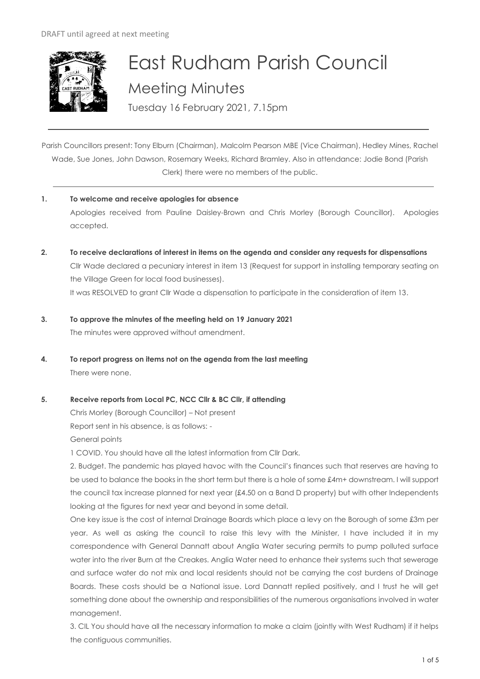

# East Rudham Parish Council Meeting Minutes

Tuesday 16 February 2021, 7.15pm

Parish Councillors present: Tony Elburn (Chairman), Malcolm Pearson MBE (Vice Chairman), Hedley Mines, Rachel Wade, Sue Jones, John Dawson, Rosemary Weeks, Richard Bramley. Also in attendance: Jodie Bond (Parish Clerk) there were no members of the public.

- **1. To welcome and receive apologies for absence** Apologies received from Pauline Daisley-Brown and Chris Morley (Borough Councillor). Apologies accepted.
- **2. To receive declarations of interest in items on the agenda and consider any requests for dispensations**  Cllr Wade declared a pecuniary interest in item 13 (Request for support in installing temporary seating on the Village Green for local food businesses). It was RESOLVED to grant Cllr Wade a dispensation to participate in the consideration of item 13.
- **3. To approve the minutes of the meeting held on 19 January 2021** The minutes were approved without amendment.
- **4. To report progress on items not on the agenda from the last meeting**  There were none.
- **5. Receive reports from Local PC, NCC Cllr & BC Cllr, if attending**

Chris Morley (Borough Councillor) – Not present

Report sent in his absence, is as follows: -

General points

1 COVID. You should have all the latest information from Cllr Dark.

2. Budget. The pandemic has played havoc with the Council's finances such that reserves are having to be used to balance the books in the short term but there is a hole of some £4m+ downstream. I will support the council tax increase planned for next year (£4.50 on a Band D property) but with other Independents looking at the figures for next year and beyond in some detail.

One key issue is the cost of internal Drainage Boards which place a levy on the Borough of some £3m per year. As well as asking the council to raise this levy with the Minister, I have included it in my correspondence with General Dannatt about Anglia Water securing permits to pump polluted surface water into the river Burn at the Creakes. Anglia Water need to enhance their systems such that sewerage and surface water do not mix and local residents should not be carrying the cost burdens of Drainage Boards. These costs should be a National issue. Lord Dannatt replied positively, and I trust he will get something done about the ownership and responsibilities of the numerous organisations involved in water management.

3. CIL You should have all the necessary information to make a claim (jointly with West Rudham) if it helps the contiguous communities.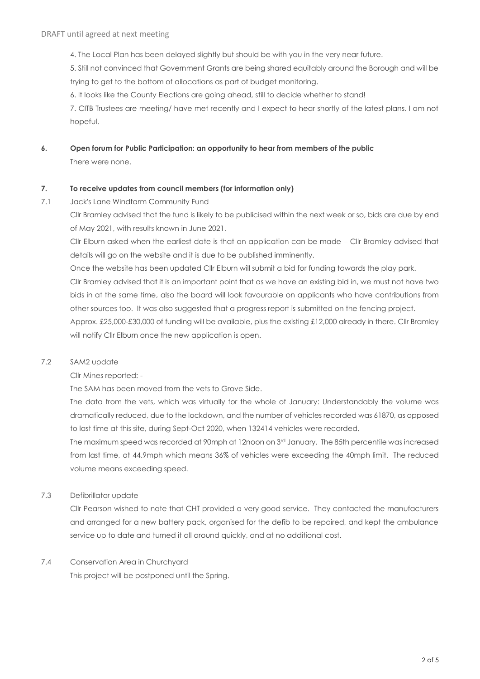4. The Local Plan has been delayed slightly but should be with you in the very near future.

5. Still not convinced that Government Grants are being shared equitably around the Borough and will be trying to get to the bottom of allocations as part of budget monitoring.

6. It looks like the County Elections are going ahead, still to decide whether to stand!

7. CITB Trustees are meeting/ have met recently and I expect to hear shortly of the latest plans. I am not hopeful.

**6. Open forum for Public Participation: an opportunity to hear from members of the public**

There were none.

# **7. To receive updates from council members (for information only)**

7.1 Jack's Lane Windfarm Community Fund

Cllr Bramley advised that the fund is likely to be publicised within the next week or so, bids are due by end of May 2021, with results known in June 2021.

Cllr Elburn asked when the earliest date is that an application can be made – Cllr Bramley advised that details will go on the website and it is due to be published imminently.

Once the website has been updated Cllr Elburn will submit a bid for funding towards the play park.

Cllr Bramley advised that it is an important point that as we have an existing bid in, we must not have two bids in at the same time, also the board will look favourable on applicants who have contributions from other sources too. It was also suggested that a progress report is submitted on the fencing project.

Approx. £25,000-£30,000 of funding will be available, plus the existing £12,000 already in there. Cllr Bramley will notify Cllr Elburn once the new application is open.

# 7.2 SAM2 update

Cllr Mines reported: -

The SAM has been moved from the vets to Grove Side.

The data from the vets, which was virtually for the whole of January: Understandably the volume was dramatically reduced, due to the lockdown, and the number of vehicles recorded was 61870, as opposed to last time at this site, during Sept-Oct 2020, when 132414 vehicles were recorded.

The maximum speed was recorded at 90mph at 12noon on 3rd January. The 85th percentile was increased from last time, at 44.9mph which means 36% of vehicles were exceeding the 40mph limit. The reduced volume means exceeding speed.

# 7.3 Defibrillator update

Cllr Pearson wished to note that CHT provided a very good service. They contacted the manufacturers and arranged for a new battery pack, organised for the defib to be repaired, and kept the ambulance service up to date and turned it all around quickly, and at no additional cost.

# 7.4 Conservation Area in Churchyard

This project will be postponed until the Spring.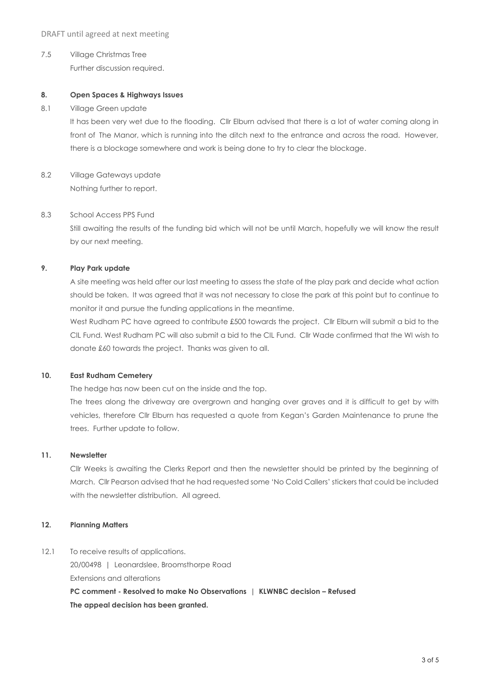7.5 Village Christmas Tree Further discussion required.

# **8. Open Spaces & Highways Issues**

8.1 Village Green update

It has been very wet due to the flooding. Cllr Elburn advised that there is a lot of water coming along in front of The Manor, which is running into the ditch next to the entrance and across the road. However, there is a blockage somewhere and work is being done to try to clear the blockage.

8.2 Village Gateways update Nothing further to report.

#### 8.3 School Access PPS Fund

Still awaiting the results of the funding bid which will not be until March, hopefully we will know the result by our next meeting.

# **9. Play Park update**

A site meeting was held after our last meeting to assess the state of the play park and decide what action should be taken. It was agreed that it was not necessary to close the park at this point but to continue to monitor it and pursue the funding applications in the meantime.

West Rudham PC have agreed to contribute £500 towards the project. Cllr Elburn will submit a bid to the CIL Fund. West Rudham PC will also submit a bid to the CIL Fund. Cllr Wade confirmed that the WI wish to donate £60 towards the project. Thanks was given to all.

# **10. East Rudham Cemetery**

The hedge has now been cut on the inside and the top.

The trees along the driveway are overgrown and hanging over graves and it is difficult to get by with vehicles, therefore Cllr Elburn has requested a quote from Kegan's Garden Maintenance to prune the trees. Further update to follow.

#### **11. Newsletter**

Cllr Weeks is awaiting the Clerks Report and then the newsletter should be printed by the beginning of March. Cllr Pearson advised that he had requested some 'No Cold Callers' stickers that could be included with the newsletter distribution. All agreed.

# **12. Planning Matters**

12.1 To receive results of applications.

20/00498 | Leonardslee, Broomsthorpe Road Extensions and alterations **PC comment - Resolved to make No Observations | KLWNBC decision – Refused The appeal decision has been granted.**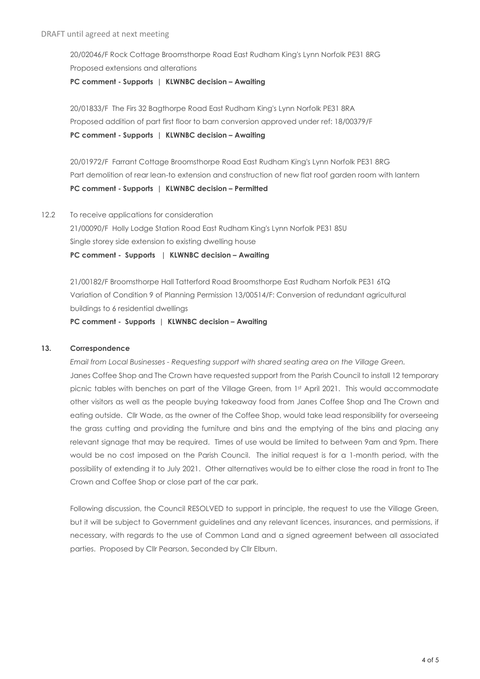20/02046/F Rock Cottage Broomsthorpe Road East Rudham King's Lynn Norfolk PE31 8RG Proposed extensions and alterations **PC comment - Supports | KLWNBC decision – Awaiting**

20/01833/F The Firs 32 Bagthorpe Road East Rudham King's Lynn Norfolk PE31 8RA Proposed addition of part first floor to barn conversion approved under ref: 18/00379/F **PC comment - Supports | KLWNBC decision – Awaiting**

20/01972/F Farrant Cottage Broomsthorpe Road East Rudham King's Lynn Norfolk PE31 8RG Part demolition of rear lean-to extension and construction of new flat roof garden room with lantern **PC comment - Supports | KLWNBC decision – Permitted**

12.2 To receive applications for consideration

21/00090/F Holly Lodge Station Road East Rudham King's Lynn Norfolk PE31 8SU Single storey side extension to existing dwelling house

**PC comment - Supports | KLWNBC decision – Awaiting**

21/00182/F Broomsthorpe Hall Tatterford Road Broomsthorpe East Rudham Norfolk PE31 6TQ Variation of Condition 9 of Planning Permission 13/00514/F: Conversion of redundant agricultural buildings to 6 residential dwellings

**PC comment - Supports | KLWNBC decision – Awaiting**

# **13. Correspondence**

*Email from Local Businesses - Requesting support with shared seating area on the Village Green.* Janes Coffee Shop and The Crown have requested support from the Parish Council to install 12 temporary picnic tables with benches on part of the Village Green, from 1st April 2021. This would accommodate other visitors as well as the people buying takeaway food from Janes Coffee Shop and The Crown and eating outside. Cllr Wade, as the owner of the Coffee Shop, would take lead responsibility for overseeing the grass cutting and providing the furniture and bins and the emptying of the bins and placing any relevant signage that may be required. Times of use would be limited to between 9am and 9pm. There would be no cost imposed on the Parish Council. The initial request is for a 1-month period, with the possibility of extending it to July 2021. Other alternatives would be to either close the road in front to The Crown and Coffee Shop or close part of the car park.

Following discussion, the Council RESOLVED to support in principle, the request to use the Village Green, but it will be subject to Government guidelines and any relevant licences, insurances, and permissions, if necessary, with regards to the use of Common Land and a signed agreement between all associated parties. Proposed by Cllr Pearson, Seconded by Cllr Elburn.